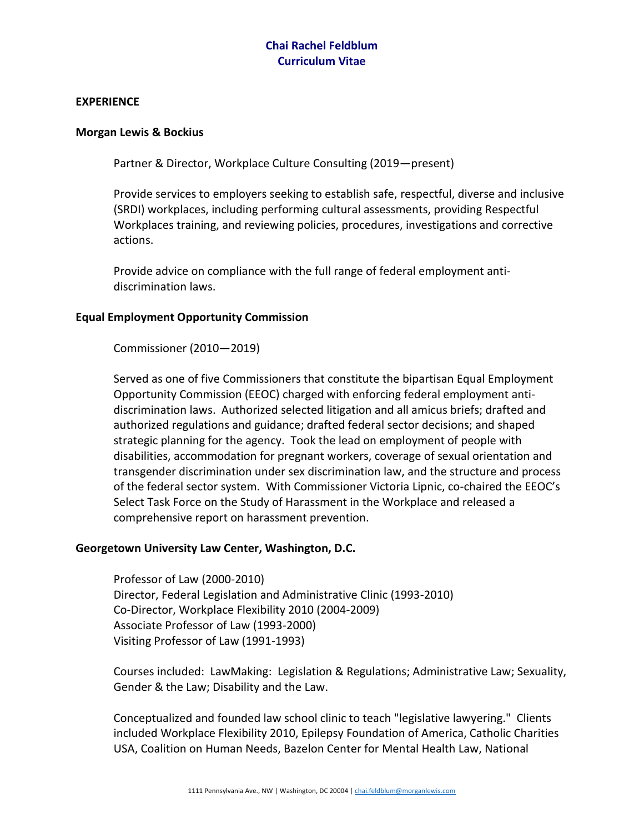## **Chai Rachel Feldblum Curriculum Vitae**

#### **EXPERIENCE**

#### **Morgan Lewis & Bockius**

Partner & Director, Workplace Culture Consulting (2019—present)

Provide services to employers seeking to establish safe, respectful, diverse and inclusive (SRDI) workplaces, including performing cultural assessments, providing Respectful Workplaces training, and reviewing policies, procedures, investigations and corrective actions.

Provide advice on compliance with the full range of federal employment antidiscrimination laws.

#### **Equal Employment Opportunity Commission**

Commissioner (2010—2019)

Served as one of five Commissioners that constitute the bipartisan Equal Employment Opportunity Commission (EEOC) charged with enforcing federal employment antidiscrimination laws. Authorized selected litigation and all amicus briefs; drafted and authorized regulations and guidance; drafted federal sector decisions; and shaped strategic planning for the agency. Took the lead on employment of people with disabilities, accommodation for pregnant workers, coverage of sexual orientation and transgender discrimination under sex discrimination law, and the structure and process of the federal sector system. With Commissioner Victoria Lipnic, co-chaired the EEOC's Select Task Force on the Study of Harassment in the Workplace and released a comprehensive report on harassment prevention.

#### **Georgetown University Law Center, Washington, D.C.**

Professor of Law (2000-2010) Director, Federal Legislation and Administrative Clinic (1993-2010) Co-Director, Workplace Flexibility 2010 (2004-2009) Associate Professor of Law (1993-2000) Visiting Professor of Law (1991-1993)

Courses included: LawMaking: Legislation & Regulations; Administrative Law; Sexuality, Gender & the Law; Disability and the Law.

Conceptualized and founded law school clinic to teach "legislative lawyering." Clients included Workplace Flexibility 2010, Epilepsy Foundation of America, Catholic Charities USA, Coalition on Human Needs, Bazelon Center for Mental Health Law, National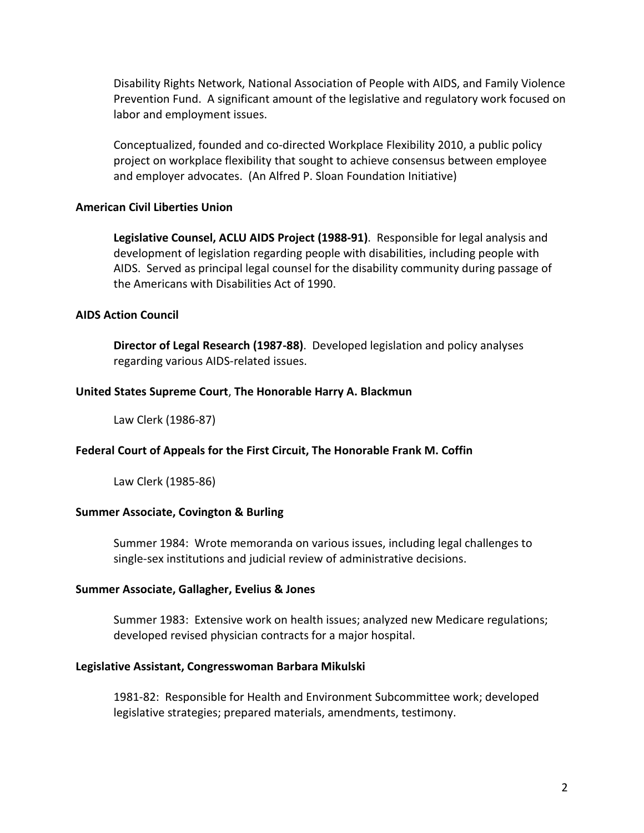Disability Rights Network, National Association of People with AIDS, and Family Violence Prevention Fund. A significant amount of the legislative and regulatory work focused on labor and employment issues.

Conceptualized, founded and co-directed Workplace Flexibility 2010, a public policy project on workplace flexibility that sought to achieve consensus between employee and employer advocates. (An Alfred P. Sloan Foundation Initiative)

### **American Civil Liberties Union**

**Legislative Counsel, ACLU AIDS Project (1988-91)**. Responsible for legal analysis and development of legislation regarding people with disabilities, including people with AIDS. Served as principal legal counsel for the disability community during passage of the Americans with Disabilities Act of 1990.

### **AIDS Action Council**

**Director of Legal Research (1987-88)**. Developed legislation and policy analyses regarding various AIDS-related issues.

#### **United States Supreme Court**, **The Honorable Harry A. Blackmun**

Law Clerk (1986-87)

## **Federal Court of Appeals for the First Circuit, The Honorable Frank M. Coffin**

Law Clerk (1985-86)

#### **Summer Associate, Covington & Burling**

Summer 1984: Wrote memoranda on various issues, including legal challenges to single-sex institutions and judicial review of administrative decisions.

#### **Summer Associate, Gallagher, Evelius & Jones**

Summer 1983: Extensive work on health issues; analyzed new Medicare regulations; developed revised physician contracts for a major hospital.

#### **Legislative Assistant, Congresswoman Barbara Mikulski**

1981-82: Responsible for Health and Environment Subcommittee work; developed legislative strategies; prepared materials, amendments, testimony.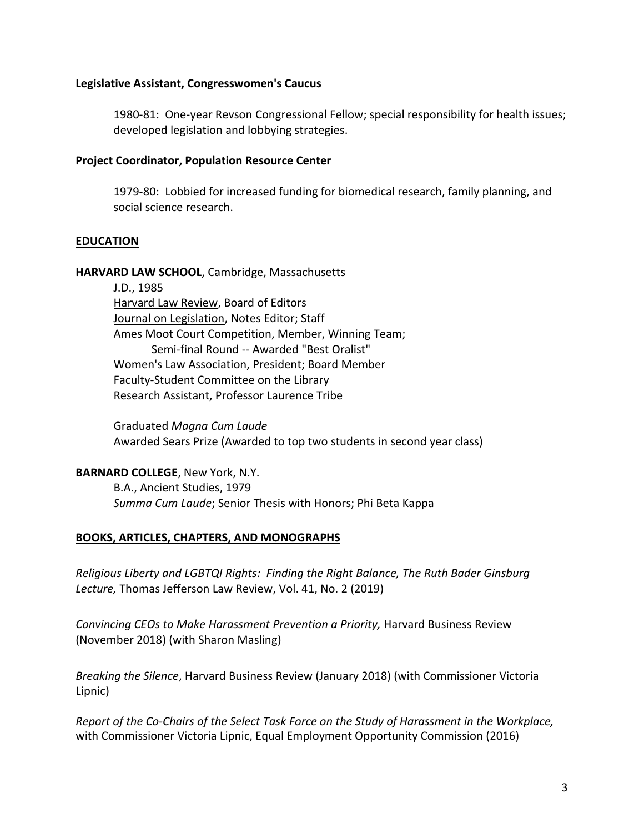### **Legislative Assistant, Congresswomen's Caucus**

1980-81: One-year Revson Congressional Fellow; special responsibility for health issues; developed legislation and lobbying strategies.

### **Project Coordinator, Population Resource Center**

1979-80: Lobbied for increased funding for biomedical research, family planning, and social science research.

### **EDUCATION**

**HARVARD LAW SCHOOL**, Cambridge, Massachusetts

J.D., 1985 Harvard Law Review, Board of Editors Journal on Legislation, Notes Editor; Staff Ames Moot Court Competition, Member, Winning Team; Semi-final Round -- Awarded "Best Oralist" Women's Law Association, President; Board Member Faculty-Student Committee on the Library Research Assistant, Professor Laurence Tribe

Graduated *Magna Cum Laude* Awarded Sears Prize (Awarded to top two students in second year class)

**BARNARD COLLEGE**, New York, N.Y. B.A., Ancient Studies, 1979 *Summa Cum Laude*; Senior Thesis with Honors; Phi Beta Kappa

## **BOOKS, ARTICLES, CHAPTERS, AND MONOGRAPHS**

*Religious Liberty and LGBTQI Rights: Finding the Right Balance, The Ruth Bader Ginsburg Lecture,* Thomas Jefferson Law Review, Vol. 41, No. 2 (2019)

*Convincing CEOs to Make Harassment Prevention a Priority,* Harvard Business Review (November 2018) (with Sharon Masling)

*Breaking the Silence*, Harvard Business Review (January 2018) (with Commissioner Victoria Lipnic)

*Report of the Co-Chairs of the Select Task Force on the Study of Harassment in the Workplace,* with Commissioner Victoria Lipnic, Equal Employment Opportunity Commission (2016)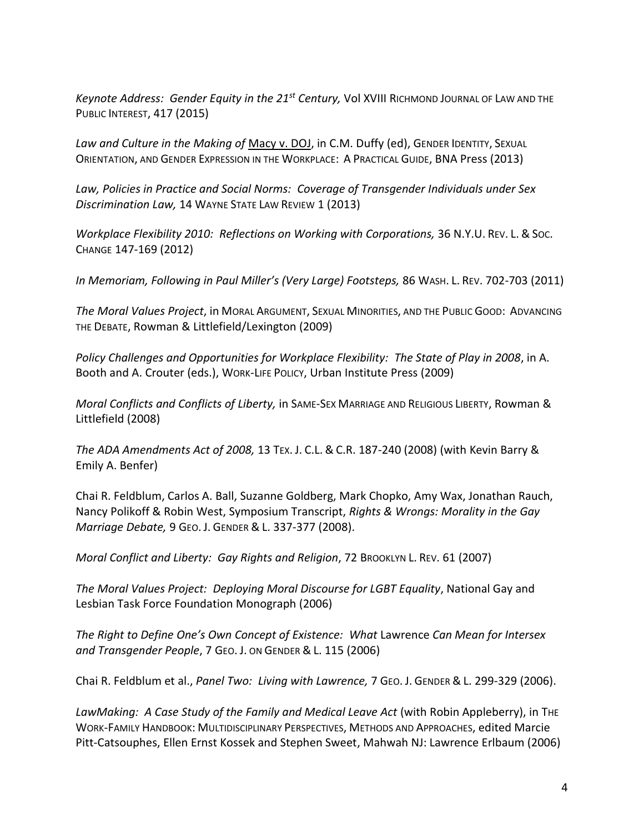*Keynote Address: Gender Equity in the 21st Century,* Vol XVIII RICHMOND JOURNAL OF LAW AND THE PUBLIC INTEREST, 417 (2015)

*Law and Culture in the Making of* Macy v. DOJ, in C.M. Duffy (ed), GENDER IDENTITY, SEXUAL ORIENTATION, AND GENDER EXPRESSION IN THE WORKPLACE: A PRACTICAL GUIDE, BNA Press (2013)

*Law, Policies in Practice and Social Norms: Coverage of Transgender Individuals under Sex Discrimination Law,* 14 WAYNE STATE LAW REVIEW 1 (2013)

*Workplace Flexibility 2010: Reflections on Working with Corporations,* 36 N.Y.U. REV. L. & SOC. CHANGE 147-169 (2012)

*In Memoriam, Following in Paul Miller's (Very Large) Footsteps,* 86 WASH. L. REV. 702-703 (2011)

*The Moral Values Project*, in MORAL ARGUMENT, SEXUAL MINORITIES, AND THE PUBLIC GOOD: ADVANCING THE DEBATE, Rowman & Littlefield/Lexington (2009)

*Policy Challenges and Opportunities for Workplace Flexibility: The State of Play in 2008*, in A. Booth and A. Crouter (eds.), WORK-LIFE POLICY, Urban Institute Press (2009)

*Moral Conflicts and Conflicts of Liberty,* in SAME-SEX MARRIAGE AND RELIGIOUS LIBERTY, Rowman & Littlefield (2008)

*The ADA Amendments Act of 2008,* 13 TEX. J. C.L. & C.R. 187-240 (2008) (with Kevin Barry & Emily A. Benfer)

Chai R. Feldblum, Carlos A. Ball, Suzanne Goldberg, Mark Chopko, Amy Wax, Jonathan Rauch, Nancy Polikoff & Robin West, Symposium Transcript, *Rights & Wrongs: Morality in the Gay Marriage Debate,* 9 GEO. J. GENDER & L. 337-377 (2008).

*Moral Conflict and Liberty: Gay Rights and Religion*, 72 BROOKLYN L. REV. 61 (2007)

*The Moral Values Project: Deploying Moral Discourse for LGBT Equality*, National Gay and Lesbian Task Force Foundation Monograph (2006)

*The Right to Define One's Own Concept of Existence: What* Lawrence *Can Mean for Intersex and Transgender People*, 7 GEO. J. ON GENDER & L. 115 (2006)

Chai R. Feldblum et al., *Panel Two: Living with Lawrence,* 7 GEO. J. GENDER & L. 299-329 (2006).

*LawMaking: A Case Study of the Family and Medical Leave Act* (with Robin Appleberry), in THE WORK-FAMILY HANDBOOK: MULTIDISCIPLINARY PERSPECTIVES, METHODS AND APPROACHES, edited Marcie Pitt-Catsouphes, Ellen Ernst Kossek and Stephen Sweet, Mahwah NJ: Lawrence Erlbaum (2006)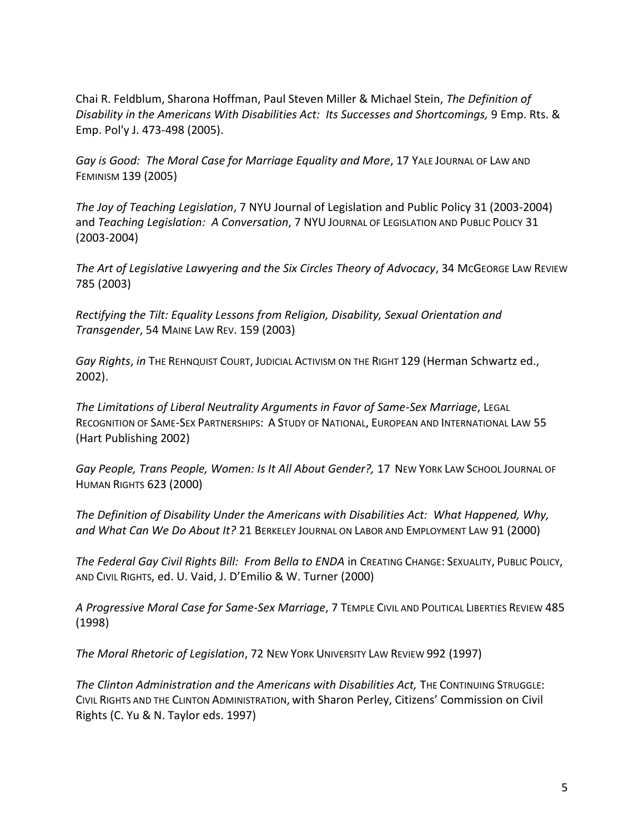Chai R. Feldblum, Sharona Hoffman, Paul Steven Miller & Michael Stein, *The Definition of Disability in the Americans With Disabilities Act: Its Successes and Shortcomings,* 9 Emp. Rts. & Emp. Pol'y J. 473-498 (2005).

*Gay is Good: The Moral Case for Marriage Equality and More*, 17 YALE JOURNAL OF LAW AND FEMINISM 139 (2005)

*The Joy of Teaching Legislation*, 7 NYU Journal of Legislation and Public Policy 31 (2003-2004) and *Teaching Legislation: A Conversation*, 7 NYU JOURNAL OF LEGISLATION AND PUBLIC POLICY 31 (2003-2004)

*The Art of Legislative Lawyering and the Six Circles Theory of Advocacy*, 34 MCGEORGE LAW REVIEW 785 (2003)

*Rectifying the Tilt: Equality Lessons from Religion, Disability, Sexual Orientation and Transgender*, 54 MAINE LAW REV. 159 (2003)

*Gay Rights*, *in* THE REHNQUIST COURT, JUDICIAL ACTIVISM ON THE RIGHT 129 (Herman Schwartz ed., 2002).

*The Limitations of Liberal Neutrality Arguments in Favor of Same-Sex Marriage*, LEGAL RECOGNITION OF SAME-SEX PARTNERSHIPS: A STUDY OF NATIONAL, EUROPEAN AND INTERNATIONAL LAW 55 (Hart Publishing 2002)

*Gay People, Trans People, Women: Is It All About Gender?,* 17 NEW YORK LAW SCHOOL JOURNAL OF HUMAN RIGHTS 623 (2000)

*The Definition of Disability Under the Americans with Disabilities Act: What Happened, Why, and What Can We Do About It?* 21 BERKELEY JOURNAL ON LABOR AND EMPLOYMENT LAW 91 (2000)

*The Federal Gay Civil Rights Bill: From Bella to ENDA* in CREATING CHANGE: SEXUALITY, PUBLIC POLICY, AND CIVIL RIGHTS, ed. U. Vaid, J. D'Emilio & W. Turner (2000)

*A Progressive Moral Case for Same-Sex Marriage*, 7 TEMPLE CIVIL AND POLITICAL LIBERTIES REVIEW 485 (1998)

*The Moral Rhetoric of Legislation*, 72 NEW YORK UNIVERSITY LAW REVIEW 992 (1997)

The Clinton Administration and the Americans with Disabilities Act, THE CONTINUING STRUGGLE: CIVIL RIGHTS AND THE CLINTON ADMINISTRATION, with Sharon Perley, Citizens' Commission on Civil Rights (C. Yu & N. Taylor eds. 1997)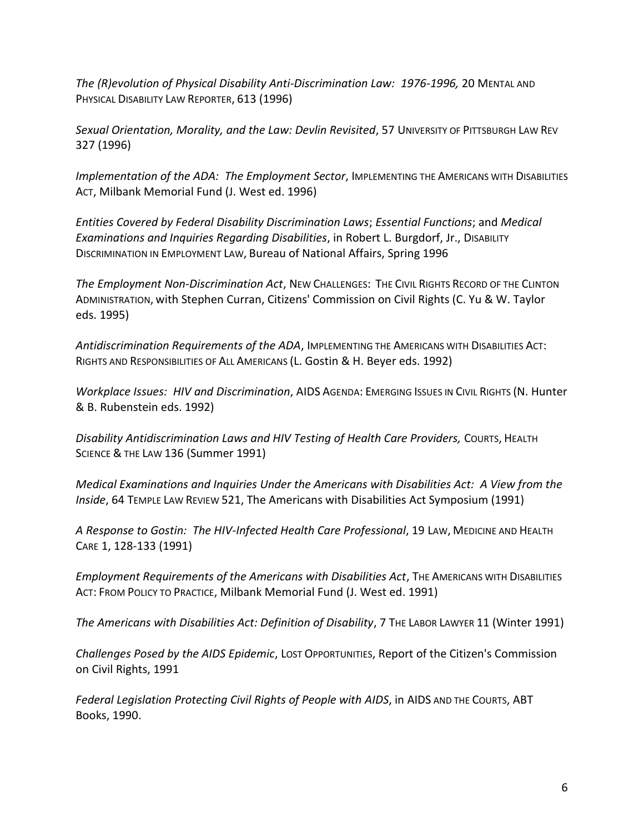*The (R)evolution of Physical Disability Anti-Discrimination Law: 1976-1996,* 20 MENTAL AND PHYSICAL DISABILITY LAW REPORTER, 613 (1996)

*Sexual Orientation, Morality, and the Law: Devlin Revisited*, 57 UNIVERSITY OF PITTSBURGH LAW REV 327 (1996)

*Implementation of the ADA: The Employment Sector*, IMPLEMENTING THE AMERICANS WITH DISABILITIES ACT, Milbank Memorial Fund (J. West ed. 1996)

*Entities Covered by Federal Disability Discrimination Laws*; *Essential Functions*; and *Medical Examinations and Inquiries Regarding Disabilities*, in Robert L. Burgdorf, Jr., DISABILITY DISCRIMINATION IN EMPLOYMENT LAW, Bureau of National Affairs, Spring 1996

*The Employment Non-Discrimination Act*, NEW CHALLENGES: THE CIVIL RIGHTS RECORD OF THE CLINTON ADMINISTRATION, with Stephen Curran, Citizens' Commission on Civil Rights (C. Yu & W. Taylor eds. 1995)

*Antidiscrimination Requirements of the ADA*, IMPLEMENTING THE AMERICANS WITH DISABILITIES ACT: RIGHTS AND RESPONSIBILITIES OF ALL AMERICANS (L. Gostin & H. Beyer eds. 1992)

*Workplace Issues: HIV and Discrimination*, AIDS AGENDA: EMERGING ISSUES IN CIVIL RIGHTS (N. Hunter & B. Rubenstein eds. 1992)

*Disability Antidiscrimination Laws and HIV Testing of Health Care Providers,* COURTS, HEALTH SCIENCE & THE LAW 136 (Summer 1991)

*Medical Examinations and Inquiries Under the Americans with Disabilities Act: A View from the Inside*, 64 TEMPLE LAW REVIEW 521, The Americans with Disabilities Act Symposium (1991)

*A Response to Gostin: The HIV-Infected Health Care Professional*, 19 LAW, MEDICINE AND HEALTH CARE 1, 128-133 (1991)

*Employment Requirements of the Americans with Disabilities Act*, THE AMERICANS WITH DISABILITIES ACT: FROM POLICY TO PRACTICE, Milbank Memorial Fund (J. West ed. 1991)

*The Americans with Disabilities Act: Definition of Disability*, 7 THE LABOR LAWYER 11 (Winter 1991)

*Challenges Posed by the AIDS Epidemic*, LOST OPPORTUNITIES, Report of the Citizen's Commission on Civil Rights, 1991

*Federal Legislation Protecting Civil Rights of People with AIDS*, in AIDS AND THE COURTS, ABT Books, 1990.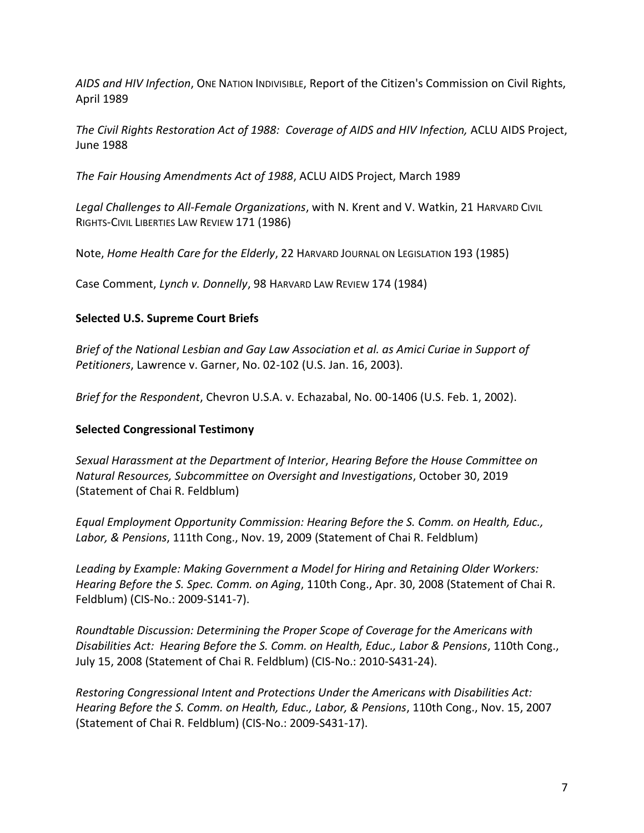*AIDS and HIV Infection*, ONE NATION INDIVISIBLE, Report of the Citizen's Commission on Civil Rights, April 1989

*The Civil Rights Restoration Act of 1988: Coverage of AIDS and HIV Infection,* ACLU AIDS Project, June 1988

*The Fair Housing Amendments Act of 1988*, ACLU AIDS Project, March 1989

*Legal Challenges to All-Female Organizations*, with N. Krent and V. Watkin, 21 HARVARD CIVIL RIGHTS-CIVIL LIBERTIES LAW REVIEW 171 (1986)

Note, *Home Health Care for the Elderly*, 22 HARVARD JOURNAL ON LEGISLATION 193 (1985)

Case Comment, *Lynch v. Donnelly*, 98 HARVARD LAW REVIEW 174 (1984)

## **Selected U.S. Supreme Court Briefs**

*Brief of the National Lesbian and Gay Law Association et al. as Amici Curiae in Support of Petitioners*, Lawrence v. Garner, No. 02-102 (U.S. Jan. 16, 2003).

*Brief for the Respondent*, Chevron U.S.A. v. Echazabal, No. 00-1406 (U.S. Feb. 1, 2002).

# **Selected Congressional Testimony**

*Sexual Harassment at the Department of Interior*, *Hearing Before the House Committee on Natural Resources, Subcommittee on Oversight and Investigations*, October 30, 2019 (Statement of Chai R. Feldblum)

*Equal Employment Opportunity Commission: Hearing Before the S. Comm. on Health, Educ., Labor, & Pensions*, 111th Cong., Nov. 19, 2009 (Statement of Chai R. Feldblum)

*Leading by Example: Making Government a Model for Hiring and Retaining Older Workers: Hearing Before the S. Spec. Comm. on Aging*, 110th Cong., Apr. 30, 2008 (Statement of Chai R. Feldblum) (CIS-No.: 2009-S141-7).

*Roundtable Discussion: Determining the Proper Scope of Coverage for the Americans with Disabilities Act: Hearing Before the S. Comm. on Health, Educ., Labor & Pensions*, 110th Cong., July 15, 2008 (Statement of Chai R. Feldblum) (CIS-No.: 2010-S431-24).

*Restoring Congressional Intent and Protections Under the Americans with Disabilities Act: Hearing Before the S. Comm. on Health, Educ., Labor, & Pensions*, 110th Cong., Nov. 15, 2007 (Statement of Chai R. Feldblum) (CIS-No.: 2009-S431-17).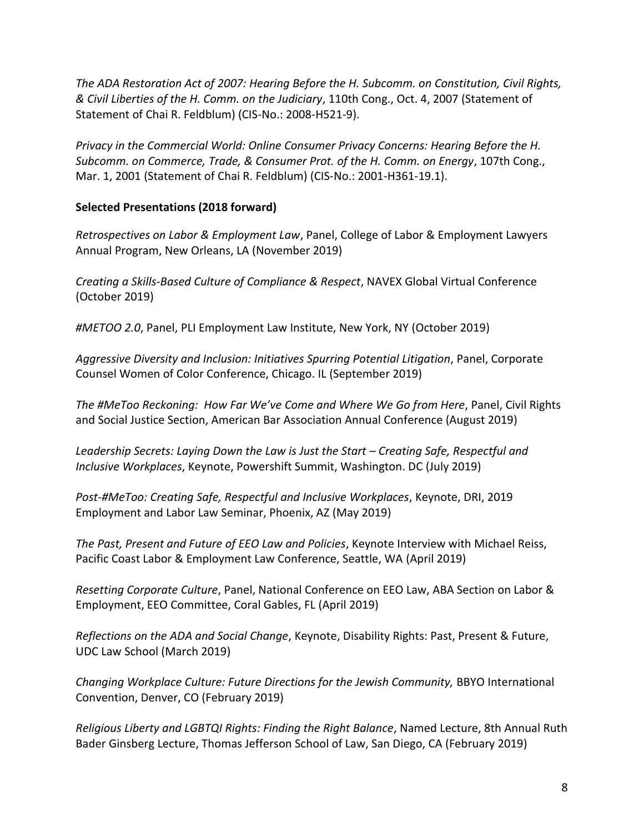*The ADA Restoration Act of 2007: Hearing Before the H. Subcomm. on Constitution, Civil Rights, & Civil Liberties of the H. Comm. on the Judiciary*, 110th Cong., Oct. 4, 2007 (Statement of Statement of Chai R. Feldblum) (CIS-No.: 2008-H521-9).

*Privacy in the Commercial World: Online Consumer Privacy Concerns: Hearing Before the H. Subcomm. on Commerce, Trade, & Consumer Prot. of the H. Comm. on Energy*, 107th Cong., Mar. 1, 2001 (Statement of Chai R. Feldblum) (CIS-No.: 2001-H361-19.1).

## **Selected Presentations (2018 forward)**

*Retrospectives on Labor & Employment Law*, Panel, College of Labor & Employment Lawyers Annual Program, New Orleans, LA (November 2019)

*Creating a Skills-Based Culture of Compliance & Respect*, NAVEX Global Virtual Conference (October 2019)

*#METOO 2.0*, Panel, PLI Employment Law Institute, New York, NY (October 2019)

*Aggressive Diversity and Inclusion: Initiatives Spurring Potential Litigation*, Panel, Corporate Counsel Women of Color Conference, Chicago. IL (September 2019)

*The #MeToo Reckoning: How Far We've Come and Where We Go from Here*, Panel, Civil Rights and Social Justice Section, American Bar Association Annual Conference (August 2019)

*Leadership Secrets: Laying Down the Law is Just the Start – Creating Safe, Respectful and Inclusive Workplaces*, Keynote, Powershift Summit, Washington. DC (July 2019)

*Post-#MeToo: Creating Safe, Respectful and Inclusive Workplaces*, Keynote, DRI, 2019 Employment and Labor Law Seminar, Phoenix, AZ (May 2019)

*The Past, Present and Future of EEO Law and Policies*, Keynote Interview with Michael Reiss, Pacific Coast Labor & Employment Law Conference, Seattle, WA (April 2019)

*Resetting Corporate Culture*, Panel, National Conference on EEO Law, ABA Section on Labor & Employment, EEO Committee, Coral Gables, FL (April 2019)

*Reflections on the ADA and Social Change*, Keynote, Disability Rights: Past, Present & Future, UDC Law School (March 2019)

*Changing Workplace Culture: Future Directions for the Jewish Community,* BBYO International Convention, Denver, CO (February 2019)

*Religious Liberty and LGBTQI Rights: Finding the Right Balance*, Named Lecture, 8th Annual Ruth Bader Ginsberg Lecture, Thomas Jefferson School of Law, San Diego, CA (February 2019)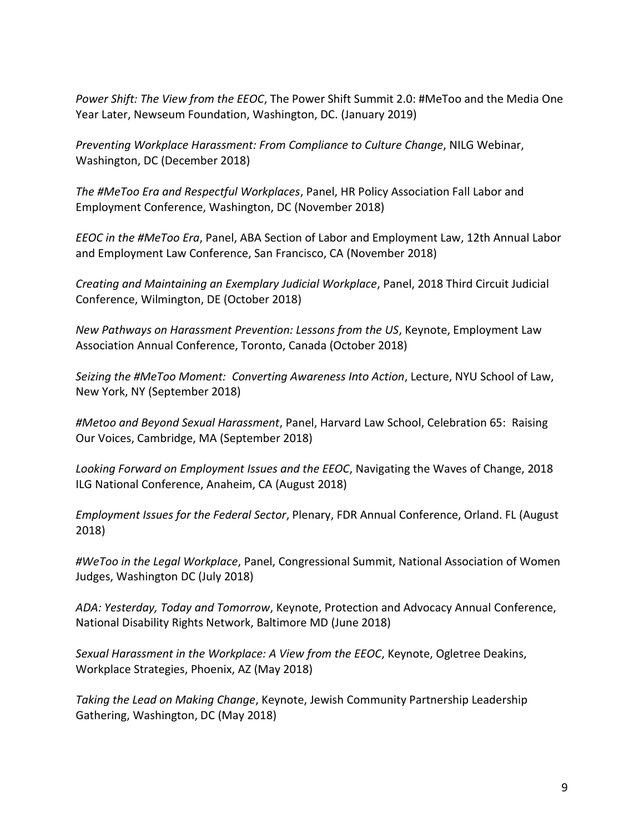*Power Shift: The View from the EEOC*, The Power Shift Summit 2.0: #MeToo and the Media One Year Later, Newseum Foundation, Washington, DC. (January 2019)

*Preventing Workplace Harassment: From Compliance to Culture Change*, NILG Webinar, Washington, DC (December 2018)

*The #MeToo Era and Respectful Workplaces*, Panel, HR Policy Association Fall Labor and Employment Conference, Washington, DC (November 2018)

*EEOC in the #MeToo Era*, Panel, ABA Section of Labor and Employment Law, 12th Annual Labor and Employment Law Conference, San Francisco, CA (November 2018)

*Creating and Maintaining an Exemplary Judicial Workplace*, Panel, 2018 Third Circuit Judicial Conference, Wilmington, DE (October 2018)

*New Pathways on Harassment Prevention: Lessons from the US*, Keynote, Employment Law Association Annual Conference, Toronto, Canada (October 2018)

*Seizing the #MeToo Moment: Converting Awareness Into Action*, Lecture, NYU School of Law, New York, NY (September 2018)

*#Metoo and Beyond Sexual Harassment*, Panel, Harvard Law School, Celebration 65: Raising Our Voices, Cambridge, MA (September 2018)

*Looking Forward on Employment Issues and the EEOC*, Navigating the Waves of Change, 2018 ILG National Conference, Anaheim, CA (August 2018)

*Employment Issues for the Federal Sector*, Plenary, FDR Annual Conference, Orland. FL (August 2018)

*#WeToo in the Legal Workplace*, Panel, Congressional Summit, National Association of Women Judges, Washington DC (July 2018)

*ADA: Yesterday, Today and Tomorrow*, Keynote, Protection and Advocacy Annual Conference, National Disability Rights Network, Baltimore MD (June 2018)

*Sexual Harassment in the Workplace: A View from the EEOC*, Keynote, Ogletree Deakins, Workplace Strategies, Phoenix, AZ (May 2018)

*Taking the Lead on Making Change*, Keynote, Jewish Community Partnership Leadership Gathering, Washington, DC (May 2018)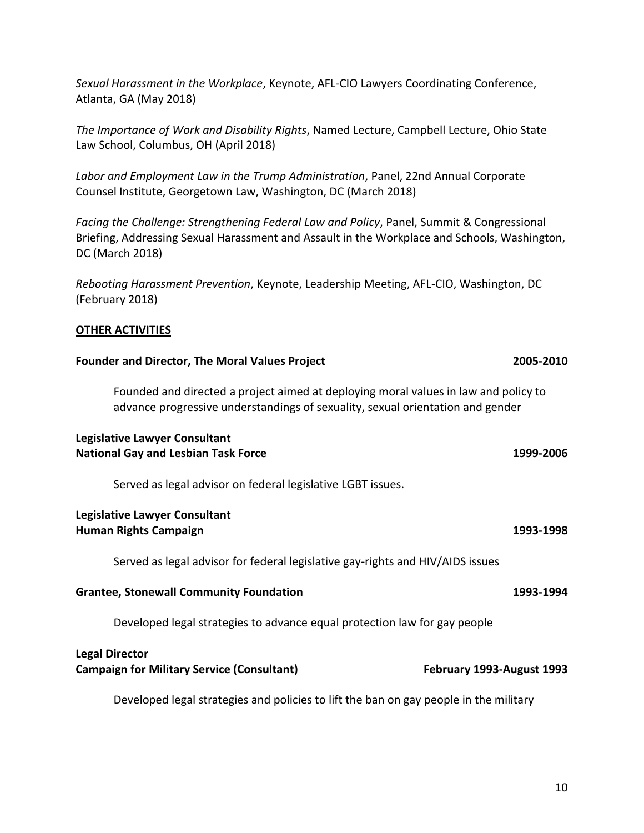*Sexual Harassment in the Workplace*, Keynote, AFL-CIO Lawyers Coordinating Conference, Atlanta, GA (May 2018)

*The Importance of Work and Disability Rights*, Named Lecture, Campbell Lecture, Ohio State Law School, Columbus, OH (April 2018)

*Labor and Employment Law in the Trump Administration*, Panel, 22nd Annual Corporate Counsel Institute, Georgetown Law, Washington, DC (March 2018)

*Facing the Challenge: Strengthening Federal Law and Policy*, Panel, Summit & Congressional Briefing, Addressing Sexual Harassment and Assault in the Workplace and Schools, Washington, DC (March 2018)

*Rebooting Harassment Prevention*, Keynote, Leadership Meeting, AFL-CIO, Washington, DC (February 2018)

## **OTHER ACTIVITIES**

| <b>Founder and Director, The Moral Values Project</b>                                                                                                                 | 2005-2010                 |
|-----------------------------------------------------------------------------------------------------------------------------------------------------------------------|---------------------------|
| Founded and directed a project aimed at deploying moral values in law and policy to<br>advance progressive understandings of sexuality, sexual orientation and gender |                           |
| Legislative Lawyer Consultant<br><b>National Gay and Lesbian Task Force</b>                                                                                           | 1999-2006                 |
| Served as legal advisor on federal legislative LGBT issues.                                                                                                           |                           |
| <b>Legislative Lawyer Consultant</b><br><b>Human Rights Campaign</b>                                                                                                  | 1993-1998                 |
| Served as legal advisor for federal legislative gay-rights and HIV/AIDS issues                                                                                        |                           |
| <b>Grantee, Stonewall Community Foundation</b>                                                                                                                        | 1993-1994                 |
| Developed legal strategies to advance equal protection law for gay people                                                                                             |                           |
| <b>Legal Director</b><br><b>Campaign for Military Service (Consultant)</b>                                                                                            | February 1993-August 1993 |
| Developed legal strategies and policies to lift the ban on gay people in the military                                                                                 |                           |